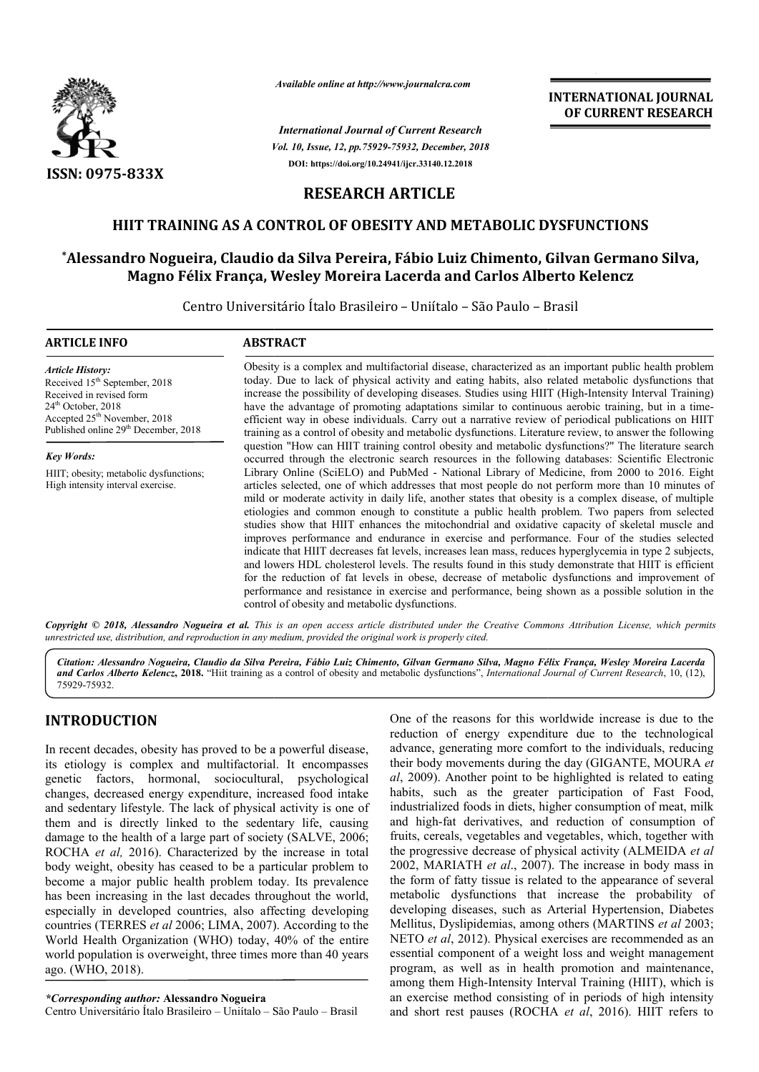

*Available online at http://www.journalcra.com*

*Vol. 10, Issue, 12, pp.75929-75932, December, 2018 International Journal of Current Research* **DOI: https://doi.org/10.24941/ijcr.33140.12.2018**



# **RESEARCH ARTICLE**

# **HIIT TRAINING AS A CONTROL OF OBESITY AND METABOLIC DYSFUNCTIONS OF OBESITY AND METABOLIC**

# **\*Alessandro Nogueira, Claudio da Silva Pereira, Fábio Luiz Chimento, Gilvan Germano Silva, Alessandro Carlos Alberto Kelencz Magno Félix França, Wesley Moreira Lacerda and**

Centro Universitário Ítalo Brasileiro – Uniítalo – São Paulo – Brasil

| <b>ARTICLE INFO</b>                                                                                                                                                                                                      | <b>ABSTRACT</b>                                                                                                                                                                                                                                                                                                                                                                                                                                                                                                                                                                                                                                                                                                                                                                                                                                                                                                                                                                                                                                                                             |
|--------------------------------------------------------------------------------------------------------------------------------------------------------------------------------------------------------------------------|---------------------------------------------------------------------------------------------------------------------------------------------------------------------------------------------------------------------------------------------------------------------------------------------------------------------------------------------------------------------------------------------------------------------------------------------------------------------------------------------------------------------------------------------------------------------------------------------------------------------------------------------------------------------------------------------------------------------------------------------------------------------------------------------------------------------------------------------------------------------------------------------------------------------------------------------------------------------------------------------------------------------------------------------------------------------------------------------|
| <b>Article History:</b><br>Received 15 <sup>th</sup> September, 2018<br>Received in revised form<br>$24th$ October, 2018<br>Accepted 25 <sup>th</sup> November, 2018<br>Published online 29 <sup>th</sup> December, 2018 | Obesity is a complex and multifactorial disease, characterized as an important public health problem<br>today. Due to lack of physical activity and eating habits, also related metabolic dysfunctions that<br>increase the possibility of developing diseases. Studies using HIIT (High-Intensity Interval Training)<br>have the advantage of promoting adaptations similar to continuous aerobic training, but in a time-<br>efficient way in obese individuals. Carry out a narrative review of periodical publications on HIIT<br>training as a control of obesity and metabolic dysfunctions. Literature review, to answer the following                                                                                                                                                                                                                                                                                                                                                                                                                                               |
| <b>Key Words:</b>                                                                                                                                                                                                        | question "How can HIIT training control obesity and metabolic dysfunctions?" The literature search<br>occurred through the electronic search resources in the following databases: Scientific Electronic                                                                                                                                                                                                                                                                                                                                                                                                                                                                                                                                                                                                                                                                                                                                                                                                                                                                                    |
| HIIT; obesity; metabolic dysfunctions;<br>High intensity interval exercise.                                                                                                                                              | Library Online (SciELO) and PubMed - National Library of Medicine, from 2000 to 2016. Eight<br>articles selected, one of which addresses that most people do not perform more than 10 minutes of<br>mild or moderate activity in daily life, another states that obesity is a complex disease, of multiple<br>etiologies and common enough to constitute a public health problem. Two papers from selected<br>studies show that HIIT enhances the mitochondrial and oxidative capacity of skeletal muscle and<br>improves performance and endurance in exercise and performance. Four of the studies selected<br>indicate that HIIT decreases fat levels, increases lean mass, reduces hyperglycemia in type 2 subjects,<br>and lowers HDL cholesterol levels. The results found in this study demonstrate that HIIT is efficient<br>for the reduction of fat levels in obese, decrease of metabolic dysfunctions and improvement of<br>performance and resistance in exercise and performance, being shown as a possible solution in the<br>control of obesity and metabolic dysfunctions. |

Copyright © 2018, Alessandro Nogueira et al. This is an open access article distributed under the Creative Commons Attribution License, which permits *unrestricted use, distribution, and reproduction in any medium, provided the original work is properly cited.*

Citation: Alessandro Nogueira, Claudio da Silva Pereira, Fábio Luiz Chimento, Gilvan Germano Silva, Magno Félix França, Wesley Moreira Lacerda and Carlos Alberto Kelencz, 2018. "Hiit training as a control of obesity and metabolic dysfunctions", *International Journal of Current Research*, 10, (12), 75929-75932.

# **INTRODUCTION**

In recent decades, obesity has proved to be a powerful disease, its etiology is complex and multifactorial. It encompasses genetic factors, hormonal, sociocultural, psychological changes, decreased energy expenditure, increased food intake and sedentary lifestyle. The lack of physical activity is one of them and is directly linked to the sedentary life, causing damage to the health of a large part of society (SALVE, 2006; ROCHA *et al,* 2016). Characterized by the increase in total body weight, obesity has ceased to be a particular problem to become a major public health problem today. Its prevalence has been increasing in the last decades throughout the world, especially in developed countries, also affecting developing countries (TERRES *et al* 2006; LIMA, 2007). World Health Organization (WHO) today, 40% of the entire world population is overweight, three times more than 40 years ago. (WHO, 2018). festyle. The lack of physical activity is one of irectly linked to the sedentary life, causing ealth of a large part of society (SALVE, 2006; 2016). Characterized by the increase in total besity has ceased to be a particul

*\*Corresponding author:* **Alessandro Nogueira**

Centro Universitário Ítalo Brasileiro – Uniítalo – São Paulo – Brasil

One of the reasons for this worldwide increase is due to the reduction of energy expenditure due to the technological advance, generating more comfort to the individuals, reducing One of the reasons for this worldwide increase is due to the reduction of energy expenditure due to the technological advance, generating more comfort to the individuals, reducing their body movements during the day (GIGAN *al*, 2009). Another point to be highlighted is related to eating habits, such as the greater participation of Fast Food, industrialized foods in diets, higher consumption of meat, milk and high-fat derivatives, and reduction of consumption of fruits, cereals, vegetables and vegetables, which, together with the progressive decrease of physical activity (ALMEIDA et al 2002, MARIATH *et al*., 2007). The increase in body mass in the form of fatty tissue is related to the appearance of several metabolic dysfunctions that increase the probability of developing diseases, such as Arterial Hypertension, Diabetes Mellitus, Dyslipidemias, among others (MARTINS et al 2003; NETO *et al*, 2012). Physical exercises are recommended as an NETO et al, 2012). Physical exercises are recommended as an essential component of a weight loss and weight management program, as well as in health promotion and maintenance, among them High-Intensity Interval Training (HIIT), which is an exercise method consisting of in periods of high intensity and short rest pauses (ROCHA et al. 2016). HIIT refers to Another point to be highlighted is related to eating<br>the as the greater participation of Fast Food,<br>zed foods in diets, higher consumption of meat, milk<br>fat derivatives, and reduction of consumption of<br>als, vegetables and form of fatty tissue is related to the appearance of several abolic dysfunctions that increase the probability of eloping diseases, such as Arterial Hypertension, Diabetes litus, Dyslipidemias, among others (MARTINS *et al* gram, as well as in health promotion and maintenance,<br>ong them High-Intensity Interval Training (HIIT), which is<br>exercise method consisting of in periods of high intensity<br>I short rest pauses (ROCHA *et al*, 2016). HIIT re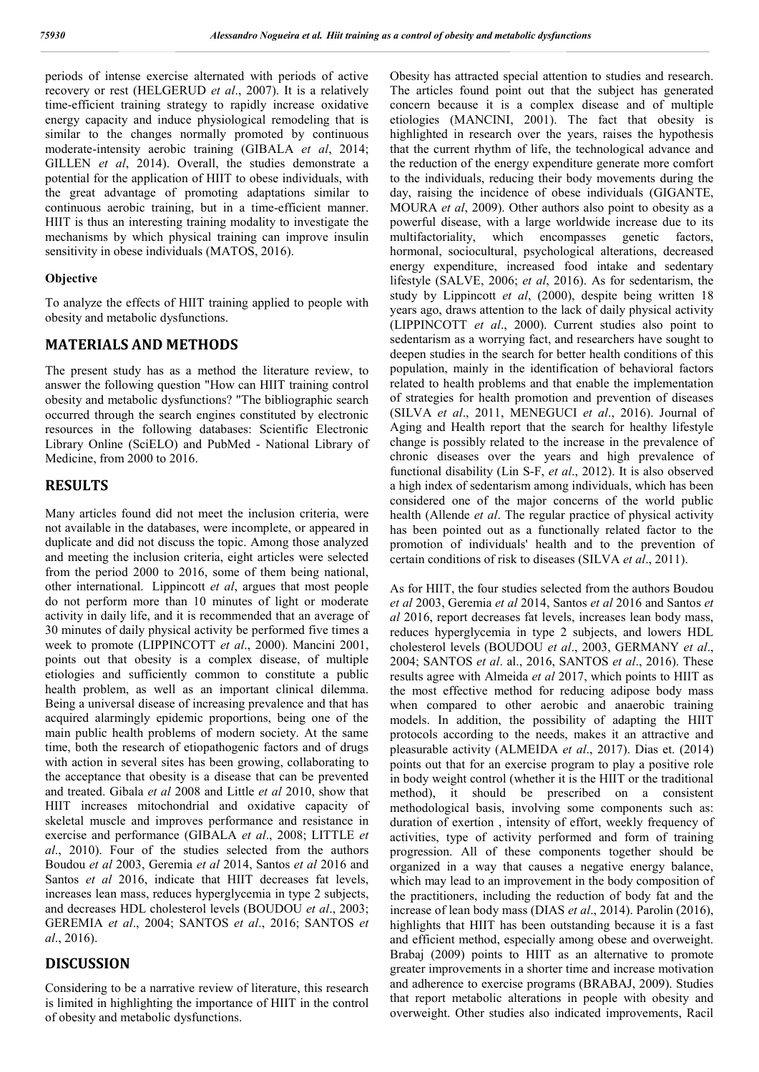periods of intense exercise alternated with periods of active recovery or rest (HELGERUD *et al*., 2007). It is a relatively time-efficient training strategy to rapidly increase oxidative energy capacity and induce physiological remodeling that is similar to the changes normally promoted by continuous moderate-intensity aerobic training (GIBALA *et al*, 2014; GILLEN *et al*, 2014). Overall, the studies demonstrate a potential for the application of HIIT to obese individuals, with the great advantage of promoting adaptations similar to continuous aerobic training, but in a time-efficient manner. HIIT is thus an interesting training modality to investigate the mechanisms by which physical training can improve insulin sensitivity in obese individuals (MATOS, 2016).

#### **Objective**

To analyze the effects of HIIT training applied to people with obesity and metabolic dysfunctions.

### **MATERIALS AND METHODS**

The present study has as a method the literature review, to answer the following question "How can HIIT training control obesity and metabolic dysfunctions? "The bibliographic search occurred through the search engines constituted by electronic resources in the following databases: Scientific Electronic Library Online (SciELO) and PubMed - National Library of Medicine, from 2000 to 2016.

#### **RESULTS**

Many articles found did not meet the inclusion criteria, were not available in the databases, were incomplete, or appeared in duplicate and did not discuss the topic. Among those analyzed and meeting the inclusion criteria, eight articles were selected from the period 2000 to 2016, some of them being national, other international. Lippincott *et al*, argues that most people do not perform more than 10 minutes of light or moderate activity in daily life, and it is recommended that an average of 30 minutes of daily physical activity be performed five times a week to promote (LIPPINCOTT *et al*., 2000). Mancini 2001, points out that obesity is a complex disease, of multiple etiologies and sufficiently common to constitute a public health problem, as well as an important clinical dilemma. Being a universal disease of increasing prevalence and that has acquired alarmingly epidemic proportions, being one of the main public health problems of modern society. At the same time, both the research of etiopathogenic factors and of drugs with action in several sites has been growing, collaborating to the acceptance that obesity is a disease that can be prevented and treated. Gibala *et al* 2008 and Little *et al* 2010, show that HIIT increases mitochondrial and oxidative capacity of skeletal muscle and improves performance and resistance in exercise and performance (GIBALA *et al*., 2008; LITTLE *et al*., 2010). Four of the studies selected from the authors Boudou *et al* 2003, Geremia *et al* 2014, Santos *et al* 2016 and Santos *et al* 2016, indicate that HIIT decreases fat levels, increases lean mass, reduces hyperglycemia in type 2 subjects, and decreases HDL cholesterol levels (BOUDOU *et al*., 2003; GEREMIA *et al*., 2004; SANTOS *et al*., 2016; SANTOS *et al*., 2016).

## **DISCUSSION**

Considering to be a narrative review of literature, this research is limited in highlighting the importance of HIIT in the control of obesity and metabolic dysfunctions.

Obesity has attracted special attention to studies and research. The articles found point out that the subject has generated concern because it is a complex disease and of multiple etiologies (MANCINI, 2001). The fact that obesity is highlighted in research over the years, raises the hypothesis that the current rhythm of life, the technological advance and the reduction of the energy expenditure generate more comfort to the individuals, reducing their body movements during the day, raising the incidence of obese individuals (GIGANTE, MOURA *et al*, 2009). Other authors also point to obesity as a powerful disease, with a large worldwide increase due to its multifactoriality, which encompasses genetic factors, hormonal, sociocultural, psychological alterations, decreased energy expenditure, increased food intake and sedentary lifestyle (SALVE, 2006; *et al*, 2016). As for sedentarism, the study by Lippincott *et al*, (2000), despite being written 18 years ago, draws attention to the lack of daily physical activity (LIPPINCOTT *et al*., 2000). Current studies also point to sedentarism as a worrying fact, and researchers have sought to deepen studies in the search for better health conditions of this population, mainly in the identification of behavioral factors related to health problems and that enable the implementation of strategies for health promotion and prevention of diseases (SILVA *et al*., 2011, MENEGUCI *et al*., 2016). Journal of Aging and Health report that the search for healthy lifestyle change is possibly related to the increase in the prevalence of chronic diseases over the years and high prevalence of functional disability (Lin S-F, *et al*., 2012). It is also observed a high index of sedentarism among individuals, which has been considered one of the major concerns of the world public health (Allende *et al*. The regular practice of physical activity has been pointed out as a functionally related factor to the promotion of individuals' health and to the prevention of certain conditions of risk to diseases (SILVA *et al*., 2011).

As for HIIT, the four studies selected from the authors Boudou *et al* 2003, Geremia *et al* 2014, Santos *et al* 2016 and Santos *et al* 2016, report decreases fat levels, increases lean body mass, reduces hyperglycemia in type 2 subjects, and lowers HDL cholesterol levels (BOUDOU *et al*., 2003, GERMANY *et al*., 2004; SANTOS *et al*. al., 2016, SANTOS *et al*., 2016). These results agree with Almeida *et al* 2017, which points to HIIT as the most effective method for reducing adipose body mass when compared to other aerobic and anaerobic training models. In addition, the possibility of adapting the HIIT protocols according to the needs, makes it an attractive and pleasurable activity (ALMEIDA *et al*., 2017). Dias et. (2014) points out that for an exercise program to play a positive role in body weight control (whether it is the HIIT or the traditional method), it should be prescribed on a consistent methodological basis, involving some components such as: duration of exertion , intensity of effort, weekly frequency of activities, type of activity performed and form of training progression. All of these components together should be organized in a way that causes a negative energy balance, which may lead to an improvement in the body composition of the practitioners, including the reduction of body fat and the increase of lean body mass (DIAS *et al*., 2014). Parolin (2016), highlights that HIIT has been outstanding because it is a fast and efficient method, especially among obese and overweight. Brabaj (2009) points to HIIT as an alternative to promote greater improvements in a shorter time and increase motivation and adherence to exercise programs (BRABAJ, 2009). Studies that report metabolic alterations in people with obesity and overweight. Other studies also indicated improvements, Racil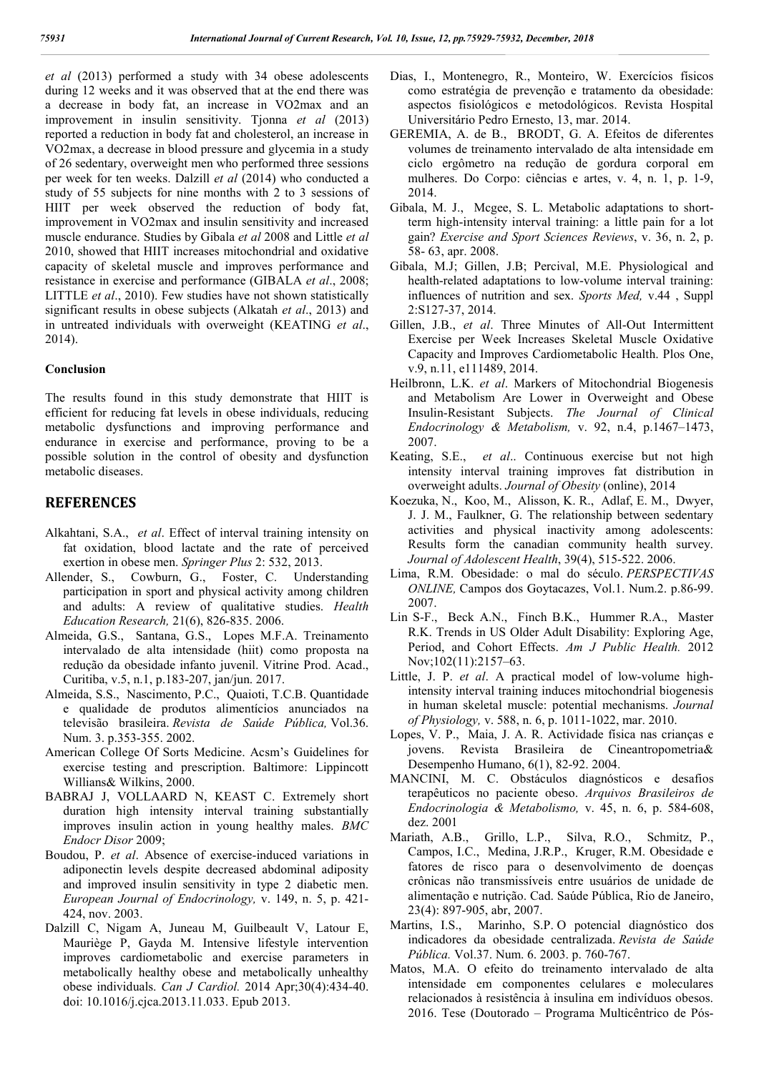*et al* (2013) performed a study with 34 obese adolescents during 12 weeks and it was observed that at the end there was a decrease in body fat, an increase in VO2max and an improvement in insulin sensitivity. Tjonna *et al* (2013) reported a reduction in body fat and cholesterol, an increase in VO2max, a decrease in blood pressure and glycemia in a study of 26 sedentary, overweight men who performed three sessions per week for ten weeks. Dalzill *et al* (2014) who conducted a study of 55 subjects for nine months with 2 to 3 sessions of HIIT per week observed the reduction of body fat, improvement in VO2max and insulin sensitivity and increased muscle endurance. Studies by Gibala *et al* 2008 and Little *et al* 2010, showed that HIIT increases mitochondrial and oxidative capacity of skeletal muscle and improves performance and resistance in exercise and performance (GIBALA *et al*., 2008; LITTLE *et al*., 2010). Few studies have not shown statistically significant results in obese subjects (Alkatah *et al*., 2013) and in untreated individuals with overweight (KEATING *et al*., 2014).

#### **Conclusion**

The results found in this study demonstrate that HIIT is efficient for reducing fat levels in obese individuals, reducing metabolic dysfunctions and improving performance and endurance in exercise and performance, proving to be a possible solution in the control of obesity and dysfunction metabolic diseases.

### **REFERENCES**

- Alkahtani, S.A., *et al*. Effect of interval training intensity on fat oxidation, blood lactate and the rate of perceived exertion in obese men. *Springer Plus* 2: 532, 2013.
- Allender, S., Cowburn, G., Foster, C. Understanding participation in sport and physical activity among children and adults: A review of qualitative studies. *Health Education Research,* 21(6), 826-835. 2006.
- Almeida, G.S., Santana, G.S., Lopes M.F.A. Treinamento intervalado de alta intensidade (hiit) como proposta na redução da obesidade infanto juvenil. Vitrine Prod. Acad., Curitiba, v.5, n.1, p.183-207, jan/jun. 2017.
- Almeida, S.S., Nascimento, P.C., Quaioti, T.C.B. Quantidade e qualidade de produtos alimentícios anunciados na televisão brasileira. *Revista de Saúde Pública,* Vol.36. Num. 3. p.353-355. 2002.
- American College Of Sorts Medicine. Acsm's Guidelines for exercise testing and prescription. Baltimore: Lippincott Willians& Wilkins, 2000.
- BABRAJ J, VOLLAARD N, KEAST C. Extremely short duration high intensity interval training substantially improves insulin action in young healthy males. *BMC Endocr Disor* 2009;
- Boudou, P. *et al*. Absence of exercise-induced variations in adiponectin levels despite decreased abdominal adiposity and improved insulin sensitivity in type 2 diabetic men. *European Journal of Endocrinology,* v. 149, n. 5, p. 421- 424, nov. 2003.
- Dalzill C, Nigam A, Juneau M, Guilbeault V, Latour E, Mauriège P, Gayda M. Intensive lifestyle intervention improves cardiometabolic and exercise parameters in metabolically healthy obese and metabolically unhealthy obese individuals. *Can J Cardiol.* 2014 Apr;30(4):434-40. doi: 10.1016/j.cjca.2013.11.033. Epub 2013.
- Dias, I., Montenegro, R., Monteiro, W. Exercícios físicos como estratégia de prevenção e tratamento da obesidade: aspectos fisiológicos e metodológicos. Revista Hospital Universitário Pedro Ernesto, 13, mar. 2014.
- GEREMIA, A. de B., BRODT, G. A. Efeitos de diferentes volumes de treinamento intervalado de alta intensidade em ciclo ergômetro na redução de gordura corporal em mulheres. Do Corpo: ciências e artes, v. 4, n. 1, p. 1-9, 2014.
- Gibala, M. J., Mcgee, S. L. Metabolic adaptations to shortterm high-intensity interval training: a little pain for a lot gain? *Exercise and Sport Sciences Reviews*, v. 36, n. 2, p. 58- 63, apr. 2008.
- Gibala, M.J; Gillen, J.B; Percival, M.E. Physiological and health-related adaptations to low-volume interval training: influences of nutrition and sex. *Sports Med,* v.44 , Suppl 2:S127-37, 2014.
- Gillen, J.B., *et al*. Three Minutes of All-Out Intermittent Exercise per Week Increases Skeletal Muscle Oxidative Capacity and Improves Cardiometabolic Health. Plos One, v.9, n.11, e111489, 2014.
- Heilbronn, L.K. *et al*. Markers of Mitochondrial Biogenesis and Metabolism Are Lower in Overweight and Obese Insulin-Resistant Subjects. *The Journal of Clinical Endocrinology & Metabolism,* v. 92, n.4, p.1467–1473, 2007.
- Keating, S.E., *et al*.. Continuous exercise but not high intensity interval training improves fat distribution in overweight adults. *Journal of Obesity* (online), 2014
- Koezuka, N., Koo, M., Alisson, K. R., Adlaf, E. M., Dwyer, J. J. M., Faulkner, G. The relationship between sedentary activities and physical inactivity among adolescents: Results form the canadian community health survey. *Journal of Adolescent Health*, 39(4), 515-522. 2006.
- Lima, R.M. Obesidade: o mal do século. *PERSPECTIVAS ONLINE,* Campos dos Goytacazes, Vol.1. Num.2. p.86-99. 2007.
- Lin S-F., Beck A.N., Finch B.K., Hummer R.A., Master R.K. Trends in US Older Adult Disability: Exploring Age, Period, and Cohort Effects. *Am J Public Health.* 2012 Nov;102(11):2157–63.
- Little, J. P. *et al*. A practical model of low-volume highintensity interval training induces mitochondrial biogenesis in human skeletal muscle: potential mechanisms. *Journal of Physiology,* v. 588, n. 6, p. 1011-1022, mar. 2010.
- Lopes, V. P., Maia, J. A. R. Actividade física nas crianças e jovens. Revista Brasileira de Cineantropometria& Desempenho Humano, 6(1), 82-92. 2004.
- MANCINI, M. C. Obstáculos diagnósticos e desafios terapêuticos no paciente obeso. *Arquivos Brasileiros de Endocrinologia & Metabolismo,* v. 45, n. 6, p. 584-608, dez. 2001
- Mariath, A.B., Grillo, L.P., Silva, R.O., Schmitz, P., Campos, I.C., Medina, J.R.P., Kruger, R.M. Obesidade e fatores de risco para o desenvolvimento de doenças crônicas não transmissíveis entre usuários de unidade de alimentação e nutrição. Cad. Saúde Pública, Rio de Janeiro, 23(4): 897-905, abr, 2007.
- Martins, I.S., Marinho, S.P. O potencial diagnóstico dos indicadores da obesidade centralizada. *Revista de Saúde Pública.* Vol.37. Num. 6. 2003. p. 760-767.
- Matos, M.A. O efeito do treinamento intervalado de alta intensidade em componentes celulares e moleculares relacionados à resistência à insulina em indivíduos obesos. 2016. Tese (Doutorado – Programa Multicêntrico de Pós-